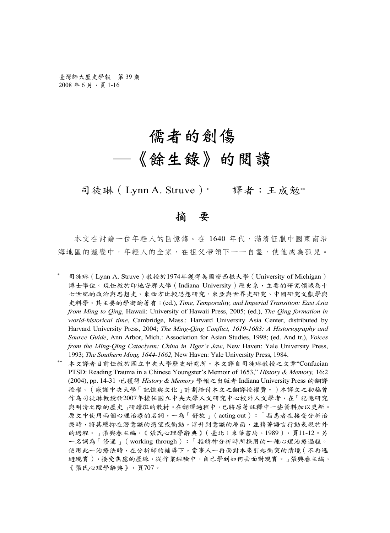# 儒者的創傷 ─《餘生錄》的閱讀

司徒琳 (Lynn A. Struve)\* 譯者:王成勉\*\*

#### 摘 要

本文在討論一位年輕人的回憶錄。在 1640 年代,滿清征服中國東南沿 海地區的遽變中,年輕人的全家,在祖父帶領下一一自盡,使他成為孤兒。

<sup>∗</sup> 司徒琳(Lynn A. Struve)教授於1974年獲得美國密西根大學(University of Michigan) 博士學位。現任教於印地安那大學(Indiana University)歷史系,主要的研究領域為十 七世纪的政治與思想史、東西方比較思想研究、東亞與世界史研究、中國研究文獻學與 史料學。其主要的學術論著有:(ed.), *Time, Temporality, and Imperial Transition: East Asia from Ming to Qing*, Hawaii: University of Hawaii Press, 2005; (ed.), *The Qing formation in world-historical time*, Cambridge, Mass.: Harvard University Asia Center, distributed by Harvard University Press, 2004; *The Ming-Qing Conflict, 1619-1683: A Historiography and Source Guide*, Ann Arbor, Mich.: Association for Asian Studies, 1998; (ed. And tr.), *Voices from the Ming-Qing Cataclysm: China in Tiger's Jaw*, New Haven: Yale University Press, 1993; *The Southern Ming, 1644-1662,* New Haven: Yale University Press, 1984.

<sup>∗∗</sup> 本文譯者目前任教於國立中央大學歷史研究所。本文譯自司徒琳教授之文章"Confucian PTSD: Reading Trauma in a Chinese Youngster's Memoir of 1653," *History & Memory,* 16:2 (2004), pp. 14-31,已獲得 *History & Memory* 學報之出版者 Indiana University Press 的翻譯 授權。(感謝中央大學「記憶與文化」計劃給付本文之翻譯授權費。)本譯文之初稿曾 作為司徒琳教授於2007年擔任國立中央大學人文研究中心校外人文學者,在「記憶研究 與明清之際的歷史」研讀班的教材。在翻譯過程中,已將原著註釋中一些資料加以更新。 原文中使用兩個心理治療的名詞,一為「舒放」(acting out):「指患者在接受分析治 療時,將其壓抑在潛意識的慾望或衝動,浮升到意識的層面,並藉著語言行動表現於外 的過程。」張興春主編,《張氏心理學辭典》(臺北:東華書局,1989),頁11-12。另 一名詞為「修通」(working through):「指精神分析時所採用的一種心理治療過程。 使用此一治療法時,在分析師的輔導下,當事人一再面對本來引起衝突的情境(不再逃 避現實),接受焦慮的歷練,從作業經驗中,自己學到如何去面對現實。」張興春主編, 《張氏心理學辭典》,頁707。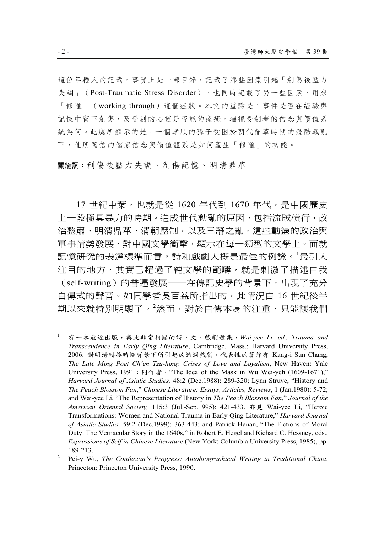這位年輕人的記載,事實上是一部目錄,記載了那些因素引起「創傷後壓力 失調」(Post-Traumatic Stress Disorder),也同時記載了另一些因素,用來 「修通」(working through)這個症狀。本文的重點是:事件是否在經驗與 記憶中留下創傷,及受創的心靈是否能夠痊癒,端視受創者的信念與價值系 統為何。此處所顯示的是,一個孝順的孫子受困於朝代鼎革時期的殘酷戰亂 下,他所篤信的儒家信念與價值體系是如何產生「修通」的功能。

關鍵詞:創傷後壓力失調、創傷記憶、明清鼎革

17 世紀中葉,也就是從 1620 年代到 1670 年代,是中國歷史 上一段極具暴力的時期。造成世代動亂的原因,包括流賊橫行、政 治整肅、明清鼎革、清朝壓制,以及三藩之亂。這些動湯的政治與 軍事情勢發展,對中國文學衝擊,顯示在每一類型的文學上。而就 記憶研究的表達標準而言,詩和戲劇大概是最佳的例證。<sup>1</sup>最引人 注目的地方,其實已超過了純文學的範疇,就是刺激了描述自我 (self-writing)的普遍發展──在傳記史學的背景下,出現了充分 自傳式的聲音。如同學者吳百益所指出的,此情況自 16 世紀後半 期以來就特別明顯了。<sup>2</sup>然而,對於自傳本身的注重,只能讓我們

<sup>1</sup> 有一本最近出版,與此非常相關的詩、文、戲劇選集,*Wai-yee Li, ed., Trauma and Transcendence in Early Qing Literature*, Cambridge, Mass.: Harvard University Press, 2006. 對明清轉接時期背景下所引起的詩詞戲劇,代表性的著作有 Kang-i Sun Chang, *The Late Ming Poet Ch'en Tzu-lung: Crises of Love and Loyalism*, New Haven: Yale University Press, 1991; 同作者, "The Idea of the Mask in Wu Wei-yeh (1609-1671)," *Harvard Journal of Asiatic Studies,* 48:2 (Dec.1988): 289-320; Lynn Struve, "History and *The Peach Blossom Fan*," *Chinese Literature: Essays, Articles, Reviews*, 1 (Jan.1980): 5-72; and Wai-yee Li, "The Representation of History in *The Peach Blossom Fan*," *Journal of the American Oriental Society,* 115:3 (Jul.-Sep.1995): 421-433. 亦見 Wai-yee Li, "Heroic Transformations: Women and National Trauma in Early Qing Literature," *Harvard Journal of Asiatic Studies,* 59:2 (Dec.1999): 363-443; and Patrick Hanan, "The Fictions of Moral Duty: The Vernacular Story in the 1640s," in Robert E. Hegel and Richard C. Hessney, eds., *Expressions of Self in Chinese Literature* (New York: Columbia University Press, 1985), pp. 189-213. 2

Pei-y Wu, *The Confucian's Progress: Autobiographical Writing in Traditional China*, Princeton: Princeton University Press, 1990.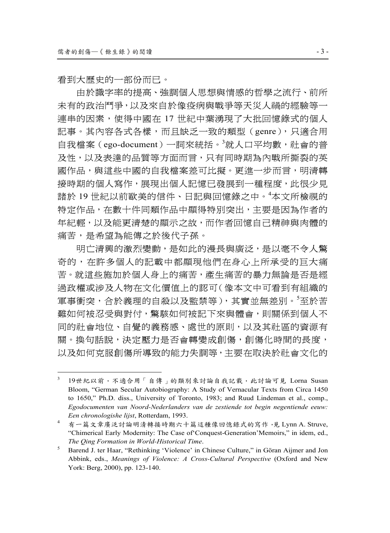看到大歷史的一部份而已。

由於識字率的提高、強調個人思想與情感的哲學之流行、前所 未有的政治鬥爭,以及來自於像疫病與戰爭等天災人禍的經驗等一 連串的因素,使得中國在 17 世紀中葉湧現了大批回憶錄式的個人 記事。其內容各式各樣,而且缺乏一致的類型(genre),只適合用 自我檔案 (ego-document) 一詞來統括。<sup>3</sup>就人口平均數,社會的普 及性,以及表達的品質等方面而言,只有同時期為內戰所撕裂的英 國作品,與這些中國的自我檔案差可比擬。更進一步而言,明清轉 接時期的個人寫作,展現出個人記憶已發展到一種程度,此很少見 諸於 19 世紀以前歐美的信件、日記與回憶錄之中。<sup>4</sup> 本文所檢視的 特定作品,在數十件同類作品中顯得特別突出,主要是因為作者的 年紀輕,以及能更清楚的顯示之故,而作者回憶自己精神與肉體的 痛苦,是希望為能傳之於後代子孫。

明亡清興的激烈變動,是如此的漫長與廣泛,是以毫不令人驚 奇的,在許多個人的記載中都顯現他們在身心上所承受的巨大痛 苦。就這些施加於個人身上的痛苦,產生痛苦的暴力無論是否是經 過政權或涉及人物在文化價值上的認可(像本文中可看到有組織的 軍事衝突,合於義理的自殺以及監禁等),其實並無差別。<sup>5</sup>至於苦 難如何被忍受與對付,驚駭如何被記下來與體會,則關係到個人不 同的社會地位、自覺的義務感、處世的原則,以及其社區的資源有 關。換句話說,決定壓力是否會轉變成創傷,創傷化時間的長度, 以及如何克服創傷所導致的能力失調等,主要在取決於社會文化的

<sup>3</sup> 19世紀以前,不適合用「自傳」的類別來討論自我記載,此討論可見 Lorna Susan Bloom, "German Secular Autobiography: A Study of Vernacular Texts from Circa 1450 to 1650," Ph.D. diss., University of Toronto, 1983; and Ruud Lindeman et al., comp., *Egodocumenten van Noord-Nederlanders van de zestiende tot begin negentiende eeuw: Een chronologishe lijst*, Rotterdam, 1993. 4

有一篇文章廣泛討論明清轉接時期六十篇這種像回憶錄式的寫作,見 Lynn A. Struve, "Chimerical Early Modernity: The Case of'Conquest-Generation'Memoirs," in idem, ed., *The Qing Formation in World-Historical Time*. 5

Barend J. ter Haar, "Rethinking 'Violence' in Chinese Culture," in Göran Aijmer and Jon Abbink, eds., *Meanings of Violence: A Cross-Cultural Perspective* (Oxford and New York: Berg, 2000), pp. 123-140.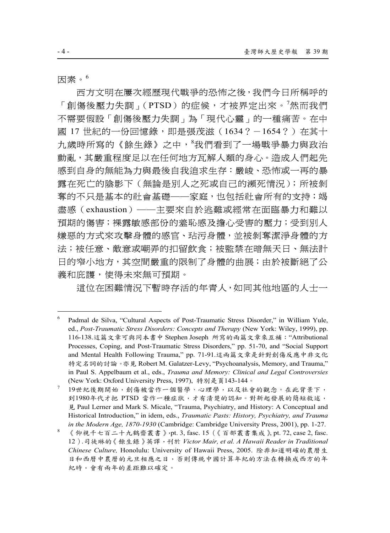因素。<sup>6</sup>

西方文明在屢次經歷現代戰爭的恐怖之後,我們今日所稱呼的 「創傷後壓力失調」(PTSD)的症候,才被界定出來。<sup>7</sup>然而我們 不需要假設「創傷後壓力失調」為「現代心靈」的一種痛苦。在中 國 17 世紀的一份回憶錄,即是張茂滋 (1634 ? -1654 ?) 在其十 九歲時所寫的《餘生錄》之中,<sup>8</sup>我們看到了一場戰爭暴力與政治 動亂,其嚴重程度足以在任何地方瓦解人類的身心。造成人們起先 感到自身的無能為力與最後自我追求生存:嚴峻、恐怖或一再的暴 露在死亡的陰影下(無論是別人之死或自己的瀕死情況);所被剝 奪的不只是基本的社會基礎──家庭,也包括社會所有的支持;竭 盡感(exhaustion)──主要來自於逃難或經常在面臨暴力和難以 預期的傷害;裸露敏感部份的羞恥感及擔心受害的壓力;受到別人 嫌惡的方式來攻擊身體的感官、玷污身體,並被剝奪潔淨身體的方 法;被任意、敵意或嘲弄的扣留飲食;被監禁在暗無天日、無法計 日的窄小地方,其空間嚴重的限制了身體的曲展;由於被斷絕了公 義和庇護,使得未來無可預期。

這位在困難情況下暫時存活的年青人,如同其他地區的人士一

<sup>6</sup> Padmal de Silva, "Cultural Aspects of Post-Traumatic Stress Disorder," in William Yule, ed., *Post-Traumatic Stress Disorders: Concepts and Therapy* (New York: Wiley, 1999), pp. 116-138.這篇文章可與同本書中 Stephen Joseph 所寫的兩篇文章來互補:"Attributional Processes, Coping, and Post-Traumatic Stress Disorders," pp. 51-70, and "Social Support and Mental Health Following Trauma," pp. 71-91.這兩篇文章是針對創傷反應中非文化 特定名詞的討論。亦見 Robert M. Galatzer-Levy, "Psychoanalysis, Memory, and Trauma," in Paul S. Appelbaum et al., eds., *Trauma and Memory: Clinical and Legal Controversies* (New York: Oxford University Press, 1997), 特別是頁143-144。

<sup>7</sup> 19世紀後期開始,創傷被當作一個醫學、心理學,以及社會的觀念。在此背景下, 到1980年代才把 PTSD 當作一種症狀,才有清楚的認知。對新起發展的簡短敘述, 見 Paul Lerner and Mark S. Micale, "Trauma, Psychiatry, and History: A Conceptual and Historical Introduction," in idem, eds., *Traumatic Pasts: History, Psychiatry, and Trauma in the Modern Age, 1870-1930* (Cambridge: Cambridge University Press, 2001), pp. 1-27.

《仰視千七百二十九鶴齋叢書》,pt. 3, fasc. 15 (《百部叢書集成》, pt. 72, case 2, fasc. 12).司徒琳的《餘生錄》英譯,刊於 *Victor Mair, et al. A Hawaii Reader in Traditional Chinese Culture,* Honolulu: University of Hawaii Press, 2005. 除非知道明確的農曆生 日和西曆中農曆的元旦相應之日,否則傳統中國計算年紀的方法在轉換成西方的年 紀時,會有兩年的差距難以確定。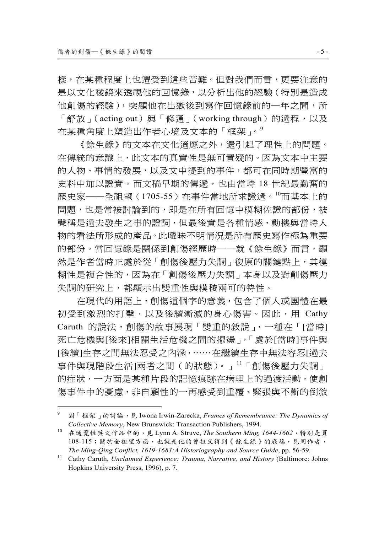樣,在某種程度上也遭受到這些苦難。但對我們而言,更要注意的 是以文化稜鏡來透視他的回憶錄,以分析出他的經驗(特別是造成 他創傷的經驗), 突顯他在出獄後到寫作回憶錄前的一年之間, 所 「舒放」(acting out)與「修通」(working through)的過程,以及 在某種角度上塑造出作者心境及文本的「框架」。<sup>9</sup>

《餘生錄》的文本在文化適應之外,還引起了理性上的問題。 在傳統的意識上,此文本的真實性是無可置疑的。因為文本中主要 的人物、事情的發展,以及文中提到的事件,都可在同時期豐富的 史料中加以證實。而文稿早期的傳遞,也由當時 18 世紀最勤奮的 歷史家──全祖望(1705-55)在事件當地所求證過。<sup>10</sup>而基本上的 問題,也是常被討論到的,即是在所有回憶中模糊佐證的部份,被 聲稱是過去發生之事的證詞,但最後實是各種情感、動機與當時人 物的看法所形成的產品。此曖昧不明情況是所有歷史寫作極為重要 的部份。當回憶錄是關係到創傷經歷時——就《餘生錄》而言,顯 然是作者當時正處於從「創傷後壓力失調」復原的關鍵點上,其模 糊性是複合性的,因為在「創傷後壓力失調」本身以及對創傷壓力 失調的研究上,都顯示出雙重性與模稜兩可的特性。

在現代的用語上,創傷這個字的意義,包含了個人或團體在最 初受到激烈的打擊,以及後續漸減的身心傷害。因此,用 Cathy Caruth 的說法,創傷的故事展現「雙重的敘說」,一種在「[當時] 死亡危機與[後來]相關生活危機之間的擺盪」,「處於[當時]事件與 [後續]生存之間無法忍受之內涵,……在繼續生存中無法容忍[過去 事件與現階段生活]兩者之間(的狀態)。」 <sup>11</sup>「創傷後壓力失調」 的症狀,一方面是某種片段的記憶痕跡在病理上的過渡活動,使創 傷事件中的憂慮,非自願性的一再感受到重覆、緊張與不斷的倒敘

<sup>9</sup> 對「框架」的討論, 見 Iwona Irwin-Zarecka, *Frames of Remembrance: The Dynamics of Collective Memory*, New Brunswick: Transaction Publishers, 1994.<br><sup>10</sup> 在通覽性英文作品中的, 見 Lynn A. Struve, *The Southern Ming, 1644-1662*,特別是頁

<sup>108-115</sup>;關於全祖望方面,也就是他的曾祖父得到《餘生錄》的底稿,見同作者,

*The Ming-Qing Conflict, 1619-1683:A Historiography and Source Guide*, pp. 56-59. 11 Cathy Caruth, *Unclaimed Experience: Trauma, Narrative, and History* (Baltimore: Johns Hopkins University Press, 1996), p. 7.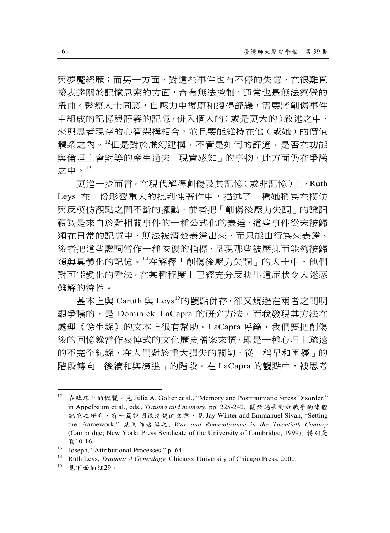與夢魘經歷;而另一方面,對這些事件也有不停的失憶。在很難直 接表達關於記憶思索的方面,會有無法控制,通常也是無法察覺的 扭曲。醫療人士同意,自壓力中復原和獲得舒緩,需要將創傷事件 中組成的記憶與語義的記憶,併入個人的(或是更大的)敘述之中, 來與患者現存的心智架構相合,並且要能維持在他(或她)的價值 體系之內。12但是對於虛幻建構,不管是如何的舒適,是否在功能 與倫理上會對等的產生過去「現實感知」的事物,此方面仍在爭議 之中。<sup>13</sup>

更進一步而言,在現代解釋創傷及其記憶(或非記憶)上,Ruth Leys 在一份影響重大的批判性著作中,描述了一種她稱為在模仿 與反模仿觀點之間不斷的擺動。前者把「創傷後壓力失調」的證詞 視為是來自於對相關事件的一種公式化的表達,這些事件從未被歸 類在日常的記憶中,無法被清楚表達出來,而只能由行為來表達。 後者把這些證詞當作一種恢復的指標,呈現那些被壓抑而能夠被歸 類與具體化的記憶。14在解釋「創傷後壓力失調」的人士中,他們 對可能變化的看法,在某種程度上已經充分反映出這症狀令人迷惑 難解的特性。

基本上與 Caruth 與 Leys<sup>15</sup>的觀點併存,卻又規避在兩者之間明 顯爭議的,是 Dominick LaCapra 的研究方法,而我發現其方法在 處理《餘生錄》的文本上很有幫助。LaCapra 呼籲,我們要把創傷 後的回憶錄當作哀悼式的文化歷史檔案來讀,即是一種心理上疏遠 的不完全紀錄,在人們對於重大損失的關切,從「稍早和困擾」的 階段轉向「後續和與演進」的階段。在 LaCapra 的觀點中,被思考

<sup>12</sup> 在臨床上的概覽, 見 Julia A. Golier et al., "Memory and Posttraumatic Stress Disorder," in Appelbaum et al., eds., *Trauma and memory*, pp. 225-242. 關於過去對於戰爭的集體 記憶之研究,有一篇說明很清楚的文章,見 Jay Winter and Emmanuel Sivan, "Setting the Framework," 見同作者編之, *War and Remembrance in the Twentieth Century* (Cambridge; New York: Press Syndicate of the University of Cambridge, 1999), 特別是  $\overline{a}$  10-16.<br>
13 Joseph, "Attributional Processes," p. 64.<br>
14 Duth J ang Tanung 4 Guardanu Chica

<sup>14</sup> Ruth Leys, *Trauma: A Genealogy*, Chicago: University of Chicago Press, 2000.<br><sup>15</sup> 見下面的註29。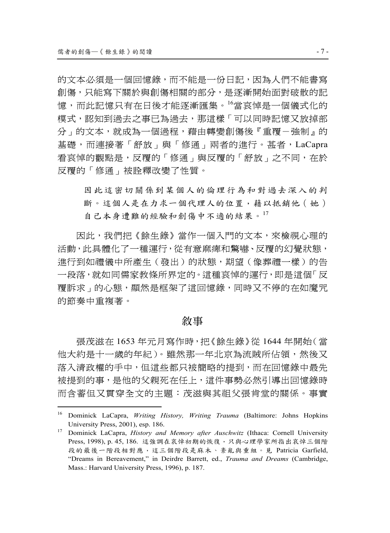的文本必須是一個回憶錄,而不能是一份日記,因為人們不能書寫 創傷,只能寫下關於與創傷相關的部分,是逐漸開始面對破散的記 憶,而此記憶只有在日後才能逐漸匯集。<sup>16</sup>當哀悼是一個儀式化的 模式,認知到過去之事已為過去,那這樣「可以同時記憶又放掉部 分」的文本,就成為一個過程,藉由轉變創傷後『重覆-強制』的 基礎,而連接著「舒放」與「修通」兩者的進行。甚者,LaCapra 看哀悼的觀點是,反覆的「修通」與反覆的「舒放」之不同,在於 反覆的「修通」被詮釋改變了性質。

因此這密切關係到某個人的倫理行為和對過去深入的判 斷。這個人是在力求一個代理人的位置,藉以抵銷他(她) 自己本身遭難的經驗和創傷中不適的結果。<sup>17</sup>

因此,我們把《餘生錄》當作一個入門的文本,來檢視心理的 活動,此具體化了一種運行,從有意麻痺和驚嚇、反覆的幻覺狀態, 進行到如禮儀中所產生(發出)的狀態,期望(像葬禮一樣)的告 一段落,就如同儒家教條所界定的。這種哀悼的運行,即是這個「反 覆訴求」的心態,顯然是框架了這回憶錄,同時又不停的在如魔咒 的節奏中重複著。

#### 敘事

張茂滋在 1653 年元月寫作時,把《餘生錄》從 1644 年開始(當 他大約是十一歲的年紀)。雖然那一年北京為流賊所佔領,然後又 落入清政權的手中,但這些都只被簡略的提到,而在回憶錄中最先 被提到的事,是他的父親死在任上,這件事勢必然引導出回憶錄時 而含蓄但又貫穿全文的主題:茂滋與其祖父張肯堂的關係。事實

<sup>16</sup> Dominick LaCapra, *Writing History, Writing Trauma* (Baltimore: Johns Hopkins

University Press, 2001), esp. 186. 17 Dominick LaCapra, *History and Memory after Auschwitz* (Ithaca: Cornell University Press, 1998), p. 45, 186. 這強調在哀悼初期的恢復,只與心理學家所指出哀悼三個階 段的最後一階段相對應,這三個階段是麻木、紊亂與重組。見 Patricia Garfield, "Dreams in Bereavement," in Deirdre Barrett, ed., *Trauma and Dreams* (Cambridge, Mass.: Harvard University Press, 1996), p. 187.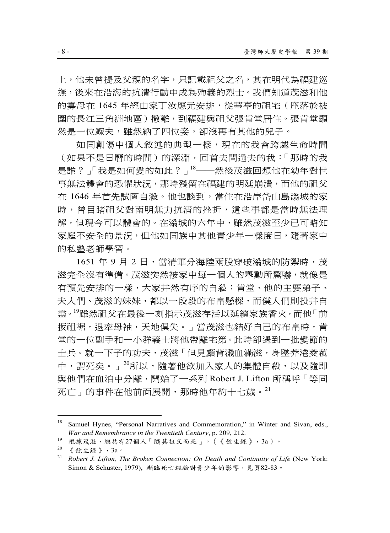上,他未曾提及父親的名字,只記載祖父之名,其在明代為福建巡 撫,後來在沿海的抗清行動中成為殉義的烈士。我們知道茂滋和他 的寡母在 1645 年經由家丁汝應元安排,從華亭的祖宅(座落於被 圍的長江三角洲地區)撤離,到福建與祖父張肯堂居住。張肯堂顯 然是一位鰥夫,雖然納了四位妾,卻沒再有其他的兒子。

如同創傷中個人敘述的典型一樣,現在的我會跨越生命時間 (如果不是日曆的時間)的深淵,回首去問過去的我:「那時的我 是誰?「我是如何變的如此?」<sup>18</sup>——然後茂滋回想他在幼年對世 事無法體會的恐懼狀況,那時殘留在福建的明廷崩潰,而他的祖父 在 1646 年首先試圖自殺。他也談到,當住在沿岸岱山島滃城的家 時,曾目睹祖父對南明無力抗清的挫折,這些事都是當時無法理 解,但現今可以體會的。在滃城的六年中,雖然茂滋至少已可略知 家庭不安全的景況,但他如同族中其他青少年一樣度日,隨著家中 的私塾老師學習。

1651 年 9 月 2 日, 當清軍分海陸兩股穿破滃城的防禦時,茂 滋完全沒有準備。茂滋突然被家中每一個人的舉動所驚嚇,就像是 有預先安排的一樣,大家井然有序的自殺:肯堂、他的主要弟子、 夫人們、茂滋的妹妹,都以一段段的布帛懸樑,而僕人們則投井自 盡。<sup>19</sup>雖然祖父在最後一刻指示茂滋存活以延續家族香火,而他「前 扳祖裾,退牽母袖,天地俱失。」當茂滋也結好自己的布帛時,肯 堂的一位副手和一小群義士將他帶離宅第。此時卻遇到一批變節的 士兵。就一下子的功夫,茂滋「但見顱背濺血滿滋,身墜莽港茭菰 中,謂死矣。」<sup>20</sup>所以,隨著他欲加入家人的集體自殺,以及隨即 與他們在血泊中分離,開始了一系列 Robert J. Lifton 所稱呼「等同 死亡」的事件在他前面展開,那時他年約十七歲。<sup>21</sup>

<sup>&</sup>lt;sup>18</sup> Samuel Hynes, "Personal Narratives and Commemoration," in Winter and Sivan, eds., *War and Remembrance in the Twentieth Century*, p. 209, 212.<br><sup>19</sup> 根據茂滋, 總共有27個人「隨其祖父而死」。(《餘生錄》, 3a)。<br><sup>20</sup> 《於止答》, 2

<sup>《</sup>餘生錄》,3a。

<sup>&</sup>lt;sup>21</sup> *Robert J. Lifton, The Broken Connection: On Death and Continuity of Life* (New York:  $S$ imon & Schuster, 1979), 瀕臨死亡經驗對青少年的影響, 見頁82-83。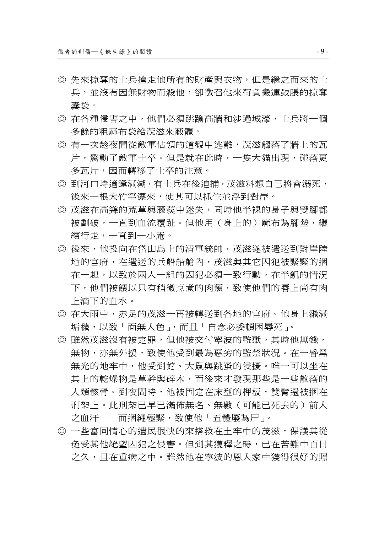- ◎ 先來掠奪的士兵搶走他所有的財產與衣物,但是繼之而來的士 兵,並沒有因無財物而殺他,卻徵召他來荷負搬運鼓脹的掠奪 囊袋。
- ◎ 在各種侵害之中,他們必須跳踰高牆和涉過城濠,士兵將一個 多餘的粗麻布袋給茂滋來蔽體。
- ◎ 有一次趁夜間從敵軍佔領的道觀中逃離,茂滋觸落了牆上的瓦 片,驚動了敵軍士卒。但是就在此時,一隻大貓出現,碰落更 多瓦片,因而轉移了士卒的注意。
- ◎ 到河口時適逢滿潮,有士兵在後追捕,茂滋料想自己將會溺死, 後來一根大竹竿漂來,使其可以抓住並浮到對岸。
- ◎ 茂滋在高聳的荒草與藤蒺中迷失,同時他半裸的身子與雙腳都 被劃破,一直到血流覆趾。但他用(身上的)麻布為腳墊,繼 續行走,一直到一小庵。
- ◎ 後來,他投向在岱山島上的清軍統帥,茂滋遂被遣送到對岸陸 地的官府,在遣送的兵船船艙內,茂滋與其它囚犯被緊緊的捆 在一起,以致於兩人一組的囚犯必須一致行動。在半飢的情況 下,他們被餵以只有稍微烹煮的肉類,致使他們的唇上尚有肉 上滴下的血水。
- ◎ 在大雨中,赤足的茂滋一再被轉送到各地的官府。他身上濺滿 垢穢,以致「面無人色」,而且「自念必委頓困辱死」。
- ◎ 雖然茂滋沒有被定罪,但他被交付寧波的監獄。其時他無錢, 無物,亦無外援,致使他受到最為惡劣的監禁狀況。在一昏黑 無光的地牢中,他受到蛇、大鼠與跳蚤的侵擾。唯一可以坐在 其上的乾燥物是草幹與碎木,而後來才發現那些是一些散落的 人類骸骨。到夜間時,他被固定在床型的柙板,雙臂還被捆在 刑架上。此刑架已早已滿佈無名、無數(可能已死去的)前人 之血汗──而捆繩極緊,致使他「五體廢為尸」。
- ◎ 一些富同情心的遺民很快的來搭救在土牢中的茂滋,保護其從 免受其他絕望囚犯之侵害。但到其獲釋之時,已在苦難中百日 之久,且在重病之中。雖然他在寧波的恩人家中獲得很好的照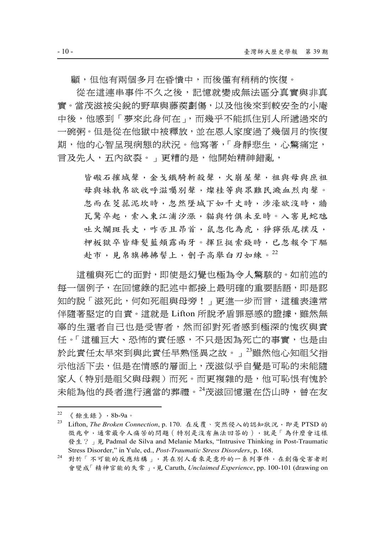顧,但他有兩個多月在昏憒中,而後僅有稍稍的恢復。

從在這連串事件不久之後,記憶就變成無法區分真實與非真 實。當茂滋被尖銳的野草與藤蒺劃傷,以及他後來到較安全的小庵 中後,他感到「夢來此身何在」,而幾乎不能抓住別人所遞過來的 一碗粥。但是從在他獄中被釋放,並在恩人家度過了幾個月的恢復 期,他的心智呈現病態的狀況。他寫著,「身靜悲生,心驚痛定, 言及先人,五內欲裂。」更糟的是,他開始精神錯亂,

皆礮石摧城聲,金戈鐵騎斬殺聲,火崩屋聲,祖與母與庶祖 母與妹執帛欲收呼滋囑別聲,燦桂等與眾難民濺血烈肉聲。 忽而在茭菰泥坎時,忽然墜城下如千丈時,涉濠欲沒時,牆 瓦驚卒起,索入東江浦汐漲,貓與竹俱未至時。入窖見蛇虺 吐火爛斑長丈,咋舌且昂首,鼠忽化為虎,猙獰張尾撲及, 柙板獄卒皆絳髮藍頰露兩牙。揮巨挺索錢時,已忽報令下驅 赴市,見帛旗拂拂髻上,劊子高舉白刃如練。22

這種與死亡的面對,即使是幻覺也極為令人驚駭的。如前述的 每一個例子,在回憶錄的記述中都接上最明確的重要話語,即是認 知的說「滋死此,何如死祖與母旁!」更進一步而言,這種表達常 伴隨著堅定的自責。這就是 Lifton 所說矛盾罪惡感的證據,雖然無 辜的生還者自己也是受害者,然而卻對死者感到極深的愧疚與責 任。「這種巨大、恐怖的責任感,不只是因為死亡的事實,也是由 於此責任太早來到與此責任早熟怪異之故。」23雖然他心知祖父指 示他活下去,但是在情感的層面上,茂滋似乎自覺是可恥的未能隨 家人(特別是祖父與母親)而死。而更複雜的是,他可恥恨有愧於 未能為他的長者進行適當的葬禮。<sup>24</sup>茂滋回憶還在岱山時, 曾在友

 $22 \,$  《餘生錄》, 8b-9a。

<sup>&</sup>lt;sup>23</sup> Lifton, *The Broken Connection*, p. 170. 在反覆、突然侵入的認知狀況, 即是 PTSD 的 徵兆中,通常最令人痛苦的問題(特別是沒有無法回答的),就是「為什麼會這樣 發生?」見 Padmal de Silva and Melanie Marks, "Intrusive Thinking in Post-Traumatic

Stress Disorder," in Yule, ed., *Post-Traumatic Stress Disorders*, p. 168. 24 對於「不可能的反應結構」,其在別人看來是意外的一系列事件,在創傷受害者則 會變成「精神官能的失常」,見 Caruth, *Unclaimed Experience*, pp. 100-101 (drawing on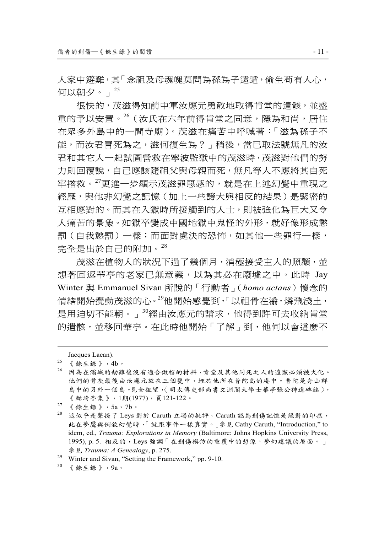人家中避難,其「念祖及母魂魄莫問為孫為子遠遁,偷生苟有人心, 何以朝夕。」<sup>25</sup>

很快的,茂滋得知前中軍汝應元勇敢地取得肯堂的遺骸,並盛 重的予以安置。<sup>26</sup>(汝氏在六年前得肯堂之同意,隱為和尚,居住 在眾多外島中的一間寺廟)。茂滋在痛苦中呼喊著:「滋為孫子不 能,而汝君冒死為之,滋何復生為?」稍後,當已取法號無凡的汝 君和其它人一起試圖營救在寧波監獄中的茂滋時,茂滋對他們的努 力則回覆說,自己應該隨祖父與母親而死,無凡等人不應將其自死 牢搭救。<sup>27</sup>更進一步顯示茂滋罪惡感的,就是在上述幻覺中重現之 經歷,與他非幻覺之記憶(加上一些誇大與相反的結果)是緊密的 互相應對的。而其在入獄時所接觸到的人士,則被強化為巨大又令 人痛苦的景象。如獄卒變成中國地獄中鬼怪的外形,就好像形成懲 罰(自我懲罰)一樣;而面對處決的恐怖,如其他一些罪行一樣, 完全是出於自己的附加。<sup>28</sup>

茂滋在植物人的狀況下過了幾個月,消極接受主人的照顧,並 想著回返華亭的老家已無意義,以為其必在廢墟之中。此時 Jay Winter 與 Emmanuel Sivan 所說的「行動者」(*homo actans*)懷念的 情緒開始攪動茂滋的心。<sup>29</sup>他開始感覺到,「以祖骨在滃,燐飛淺土, 是用迫切不能朝。」<sup>30</sup>經由汝應元的請求,他得到許可去收納肯堂 的遺骸,並移回華亭。在此時他開始「了解」到,他何以會這麼不

1

- 26 因為在滃城的劫難後沒有適合做棺的材料,肯堂及其他同死之人的遺骸必須被火化。 他們的骨灰最後由汝應元放在三個甕中,埋於他所在普陀島的庵中。普陀是舟山群 島中的另外一個島。見全祖望,〈明太傅吏部尚書文淵閣大學士華亭張公神道碑銘〉, 《鮚埼亭集》,1期(1977),頁121-122。
- $27$  《 餘生錄 》, 5a、7b。
- $^{28}$  這似乎是聲援了 Leys 對於 Caruth 立場的批評。Caruth 認為創傷記憶是絕對的印痕, 此在夢魘與倒敘幻覺時,「就跟事件一樣真實。」參見 Cathy Caruth, "Introduction," to idem, ed., *Trauma: Explorations in Memory* (Baltimore: Johns Hopkins University Press, 1995), p. 5. 相反的,Leys 強調「在創傷模仿的重覆中的想像、夢幻建議的層面。」 **參見** *Trauma: A Genealogy*, p. 275.<br><sup>29</sup> Winter and Sivan, "Setting the Framework," pp. 9-10.<br><sup>30</sup> 《餘生錄》, 9a。
- 

Jacques Lacan).<br>
<sup>25</sup> 《餘生錄》, 4b。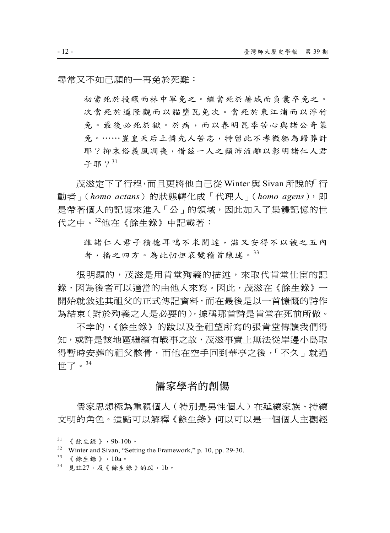尋常又不如己願的一再免於死難:

初當死於投繯而林中軍免之。繼當死於屠城而負囊卒免之。 次當死於道隆觀而以貓墮瓦免次。當死於東江浦而以浮竹 免。最後必死於獄。於病,而以春明昆季苦心與諸公奇策 免。……豈皇天后土憐先人苦志,特留此不孝微軀為歸葬計 耶?抑末俗義風凋喪,借茲一人之顛沛流離以彰明諸仁人君 子耶?31

茂滋定下了行程,而且更將他自己從 Winter 與 Sivan 所說的「行 動者」(homo actans)的狀態轉化成「代理人」(homo agens),即 是帶著個人的記憶來進入「公」的領域,因此加入了集體記憶的世 代之中。<sup>32</sup>他在《餘生錄》中記載著:

雖諸仁人君子積德耳鳴不求聞達,滋又安得不以被之五內 者,播之四方。為此忉怛哀號稽首陳述。<sup>33</sup>

很明顯的,茂滋是用肯堂殉義的描述,來取代肯堂仕宦的記 錄,因為後者可以適當的由他人來寫。因此,茂滋在《餘生錄》一 開始就敘述其祖父的正式傳記資料,而在最後是以一首慷慨的詩作 為結束(對於殉義之人是必要的),據稱那首詩是肯堂在死前所做。

不幸的,《餘生錄》的跋以及全祖望所寫的張肯堂傳讓我們得 知,或許是該地區繼續有戰事之故,茂滋事實上無法從岸邊小島取 得暫時安葬的祖父骸骨,而他在空手回到華亭之後,「不久」就過 世了。<sup>34</sup>

#### 儒家學者的創傷

儒家思想極為重視個人(特別是男性個人)在延續家族、持續 文明的角色。這點可以解釋《餘生錄》何以可以是一個個人主觀經

 $31$  《餘生錄》, 9b-10b。

<sup>32</sup> Winter and Sivan, "Setting the Framework," p. 10, pp. 29-30.<br>33 《餘生錄》, 10a。

 $34$  見註27,及《餘生錄》的跋,1b。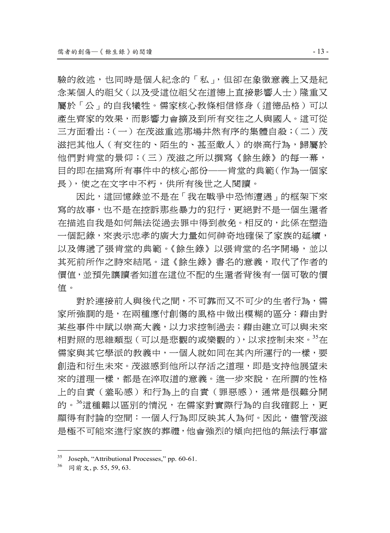驗的敘述,也同時是個人紀念的「私」,但卻在象徵意義上又是紀 念某個人的祖父(以及受這位祖父在道德上直接影響人士)隆重又 屬於「公」的自我犧牲。儒家核心教條相信修身(道德品格)可以 產生齊家的效果,而影響力會擴及到所有交往之人與國人。這可從 三方面看出:(一)在茂滋重述那場井然有序的集體自殺;(二)茂 滋把其他人 (有交往的、陌生的、甚至敵人) 的崇高行為,歸屬於 他們對肯堂的景仰;(三)茂滋之所以撰寫《餘生錄》的每一幕, 目的即在描寫所有事件中的核心部份──肯堂的典範(作為一個家 長),使之在文字中不朽,供所有後世之人閱讀。

因此,這回憶錄並不是在「我在戰爭中恐怖遭遇」的框架下來 寫的故事,也不是在控訴那些暴力的犯行,更絕對不是一個生還者 在描述自我是如何無法從過去罪中得到赦免。相反的,此係在塑造 一個記錄,來表示忠孝的廣大力量如何神奇地確保了家族的延續, 以及傳遞了張肯堂的典範。《餘生錄》以張肯堂的名字開場,並以 其死前所作之詩來結尾。這《餘生錄》書名的意義,取代了作者的 價值,並預先讓讀者知道在這位不配的生還者背後有一個可敬的價 值。

對於連接前人與後代之間,不可靠而又不可少的生者行為,儒 家所強調的是,在兩種應付創傷的風格中做出模糊的區分:藉由對 某些事件中賦以崇高大義,以力求控制過去;藉由建立可以與未來 相對照的思維類型(可以是悲觀的或樂觀的),以求控制未來。<sup>35</sup>在 儒家與其它學派的教義中,一個人就如同在其內所運行的一樣,要 創造和衍生未來。茂滋感到他所以存活之道理,即是支持他展望未 來的道理一樣,都是在淬取道的意義。進一步來說,在所謂的性格 上的自責(羞恥感)和行為上的自責(罪惡感),通常是很難分開 的。36這種難以區別的情況,在儒家對實際行為的自我確認上,更 顯得有討論的空間:一個人行為即反映其人為何。因此,儘管茂滋 是極不可能來進行家族的葬禮,他會強烈的傾向把他的無法行事當

<sup>35</sup> Joseph, "Attributional Processes," pp. 60-61.

<sup>36</sup> 同前文, p. 55, 59, 63.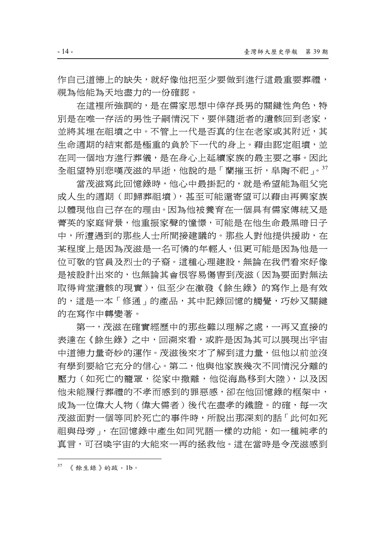作自己道德上的缺失, 就好像他把至少要做到進行這最重要葬禮, 視為他能為天地盡力的一份確認。

在這裡所強調的,是在儒家思想中倖存長男的關鍵性角色,特 別是在唯一存活的男性子嗣情況下,要伴隨逝者的遺骸回到老家, 並將其埋在祖墳之中。不管上一代是否真的住在老家或其附近,其 生命週期的結束都是極重的負於下一代的身上。藉由認定祖墳,並 在同一個地方進行葬儀,是在身心上延續家族的最主要之事。因此 全祖望特別悲嘆茂滋的早逝,他說的是「蘭摧玉折,皐陶不祀」。<sup>37</sup>

當茂滋寫此回憶錄時,他心中最掛記的,就是希望能為祖父完 成人生的週期(即歸葬祖墳),甚至可能還寄望可以藉由再興家族 以體現他自己存在的理由。因為他被養育在一個具有儒家傳統又是 菁英的家庭背景,他重振家聲的憧憬,可能是在他生命最黑暗日子 中,所遭遇到的那些人士所間接建議的。那些人對他提供援助,在 某程度上是因為茂滋是一名可憐的年輕人,但更可能是因為他是一 位可敬的官員及烈士的子裔。這種心理建設,無論在我們看來好像 是被設計出來的,也無論其會很容易傷害到茂滋(因為要面對無法 取得肯堂遺骸的現實),但至少在激發《餘生錄》的寫作上是有效 的,這是一本「修通」的產品,其中記錄回憶的觸覺,巧妙又關鍵 的在寫作中轉變著。

第一,茂滋在確實經歷中的那些難以理解之處,一再又直接的 表達在《餘生錄》之中,回溯來看,或許是因為其可以展現出宇宙 中道德力量奇妙的運作。茂滋後來才了解到這力量,但他以前並沒 有學到要給它充分的信心。第二,他與他家族幾次不同情況分離的 壓力(如死亡的籠罩,從家中撤離,他從海島移到大陸),以及因 他未能履行葬禮的不孝而感到的罪惡感,卻在他回憶錄的框架中, 成為一位偉大人物(偉大儒者)後代在盡孝的鐵證。的確,每一次 茂滋面對一個等同於死亡的事件時,所說出那深刻的話「此何如死 祖與母旁」,在回憶錄中產生如同咒語一樣的功能,如一種純孝的 真言,可召喚宇宙的大能來一再的拯救他。這在當時是令茂滋感到

 $37$  《 餘生錄 》的跋, 1b。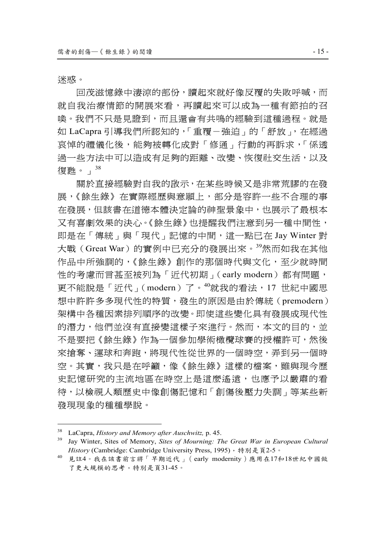迷惑。

 $\overline{a}$ 

回茂滋憶錄中淒涼的部份,讀起來就好像反覆的失敗呼喊,而 就自我治療情節的開展來看,再讀起來可以成為一種有節拍的召 喚。我們不只是見證到,而且還會有共鳴的經驗到這種過程。就是 如 LaCapra 引導我們所認知的,「重覆-強迫」的「舒放」, 在經過 哀悼的禮儀化後,能夠被轉化成對「修通」行動的再訴求,「係透 過一些方法中可以造成有足夠的距離、改變、恢復社交生活,以及 復甦。」<sup>38</sup>

關於直接經驗對自我的啟示,在某些時候又是非常荒謬的在發 展,《餘生錄》在實際經歷與意願上,部分是容許一些不合理的事 在發展,但該書在道德本體決定論的神聖景象中,也展示了最根本 又有喜劇效果的決心。《餘生錄》也提醒我們注意到另一種中間性, 即是在「傳統」與「現代」記憶的中間,這一點已在 Jay Winter 對 大戰(Great War)的實例中已充分的發展出來。<sup>39</sup>然而如我在其他 作品中所強調的,《餘生錄》創作的那個時代與文化,至少就時間 性的考慮而言甚至被列為「近代初期」(early modern)都有問題, 更不能說是「近代」(modern)了。<sup>40</sup>就我的看法,17 世紀中國思 想中許許多多現代性的特質,發生的原因是由於傳統(premodern) 架構中各種因素排列順序的改變。即使這些變化具有發展成現代性 的潛力,他們並沒有直接變這樣子來進行。然而,本文的目的,並 不是要把《餘生錄》作為一個參加學術橄欖球賽的授權許可,然後 來搶奪、運球和奔跑,將現代性從世界的一個時空,弄到另一個時 空。其實,我只是在呼籲,像《餘生錄》這樣的檔案,雖與現今歷 史記憶研究的主流地區在時空上是這麼遙遠,也應予以嚴肅的看 待,以檢視人類歷史中像創傷記憶和「創傷後壓力失調」等某些新 發現現象的種種學說。

<sup>&</sup>lt;sup>38</sup> LaCapra, *History and Memory after Auschwitz*, p. 45.<br><sup>39</sup> Jay Winter, Sites of Memory, *Sites of Mourning: The Great War in European Cultural* History (Cambridge: Cambridge University Press, 1995),特別是頁2-5。

<sup>40</sup> 見註4。我在該書前言將「早期近代」(early modernity)應用在17和18世紀中國做 了更大規模的思考,特別是頁31-45。